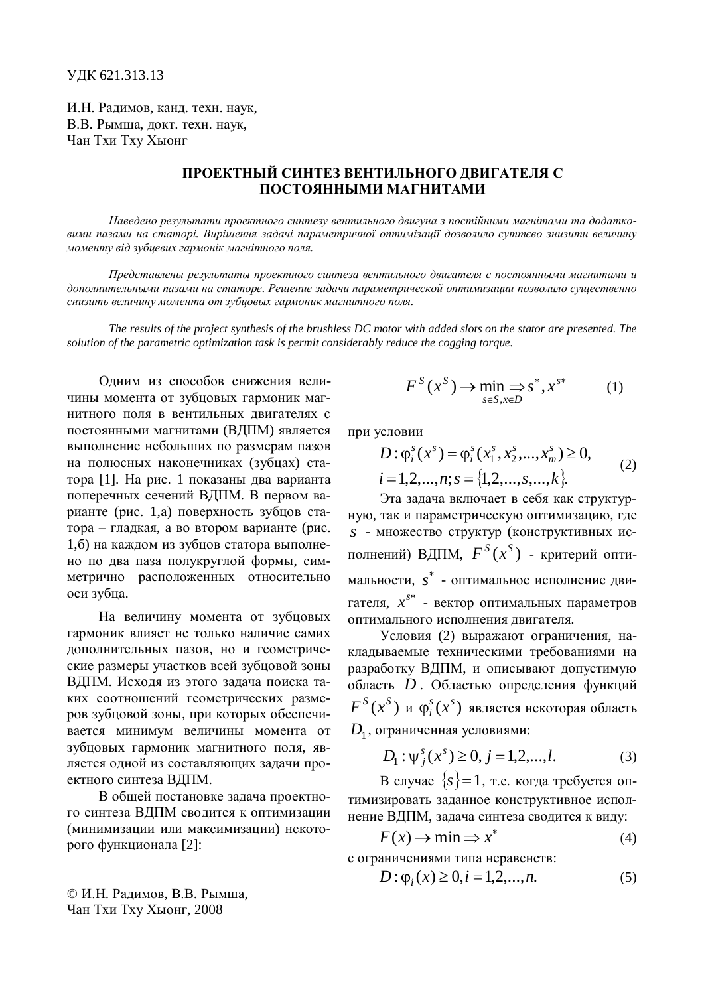И.Н. Радимов, канд. техн. наук, В.В. Рымша, локт. техн. наук. Чан Тхи Тху Хыонг

## ПРОЕКТНЫЙ СИНТЕЗ ВЕНТИЛЬНОГО ДВИГАТЕЛЯ С ПОСТОЯННЫМИ МАГНИТАМИ

Наведено результати проектного синтезу вентильного двигуна з постійними магнітами та додатковими пазами на статорі. Вирішення задачі параметричної оптимізації дозволило суттєво знизити величину  $M$ оменту від зубцевих гармонік магнітного поля.

*ɉɪɟɞɫɬɚɜɥɟɧɵɪɟɡɭɥɶɬɚɬɵɩɪɨɟɤɬɧɨɝɨɫɢɧɬɟɡɚɜɟɧɬɢɥɶɧɨɝɨɞɜɢɝɚɬɟɥɹɫɩɨɫɬɨɹɧɧɵɦɢɦɚɝɧɢɬɚɦɢɢ* дополнительными пазами на статоре. Решение задачи параметрической оптимизации позволило существенно снизить величину момента от зубцовых гармоник магнитного поля.

*The results of the project synthesis of the brushless DC motor with added slots on the stator are presented. The solution of the parametric optimization task is permit considerably reduce the cogging torque.*

Одним из способов снижения величины момента от зубцовых гармоник магнитного поля в вентильных двигателях с постоянными магнитами (ВДПМ) является выполнение небольших по размерам пазов на полюсных наконечниках (зубцах) статора [1]. На рис. 1 показаны два варианта поперечных сечений ВДПМ. В первом варианте (рис. 1,а) поверхность зубцов статора – гладкая, а во втором варианте (рис. 1,6) на каждом из зубцов статора выполнено по два паза полукруглой формы, симметрично расположенных относительно оси зубца.

На величину момента от зубцовых гармоник влияет не только наличие самих дополнительных пазов, но и геометрические размеры участков всей зубцовой зоны ВДПМ. Исходя из этого задача поиска таких соотношений геометрических размеров зубцовой зоны, при которых обеспечивается минимум величины момента от зубцовых гармоник магнитного поля, является одной из составляющих задачи проектного синтеза ВДПМ.

В общей постановке задача проектного синтеза ВДПМ сводится к оптимизации (минимизации или максимизации) некоторого функционала [2]:

© И.Н. Радимов, В.В. Рымша, Чан Тхи Тху Хыонг, 2008

$$
F^{S}(x^{S}) \to \min_{s \in S, x \in D} s^{*}, x^{s^{*}} \tag{1}
$$

при условии

$$
D: \varphi_i^s(x^s) = \varphi_i^s(x_1^s, x_2^s, ..., x_m^s) \ge 0,
$$
  
\n $i = 1, 2, ..., n; s = \{1, 2, ..., s, ..., k\}.$  (2)

Эта задача включает в себя как структурную, так и параметрическую оптимизацию, где *s* - множество структур (конструктивных исполнений) ВДПМ,  $F^{S}(x^{S})$  - критерий оптимальности, s<sup>\*</sup> - оптимальное исполнение двигателя,  $x^{s*}$  - вектор оптимальных параметров оптимального исполнения двигателя.

Условия (2) выражают ограничения, накладываемые техническими требованиями на разработку ВДПМ, и описывают допустимую область *D* . Областью определения функций  $F^S(x^S)$  и  $\varphi_i^s(x^s)$  является некоторая область  $D_{\rm 1}^{\phantom{\dagger}}$ , ограниченная условиями:

$$
D_1: \psi_j^s(x^s) \ge 0, j = 1, 2, \dots, l. \tag{3}
$$

В случае  $\{s\} = 1$ , т.е. когда требуется оптимизировать заданное конструктивное исполнение ВДПМ, задача синтеза сводится к виду:

$$
F(x) \to \min \Rightarrow x^*
$$
 (4)

с ограничениями типа неравенств:

$$
D: \varphi_i(x) \ge 0, i = 1, 2, ..., n.
$$
 (5)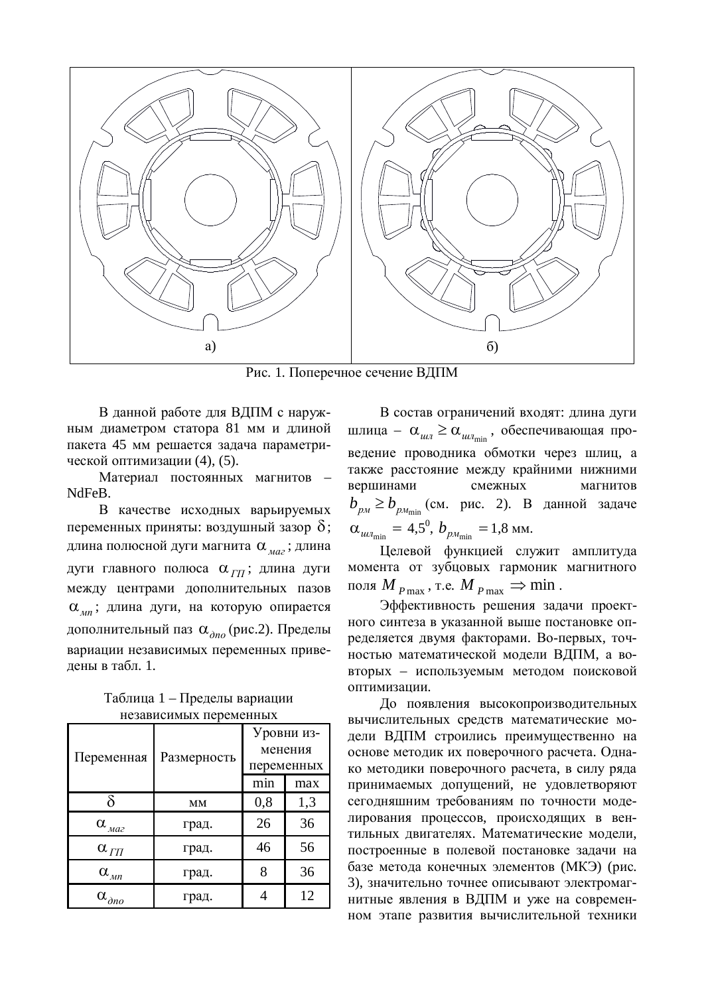

 $P$ ис. 1. Поперечное сечение ВЛПМ

В данной работе для ВДПМ с наружным диаметром статора 81 мм и длиной пакета 45 мм решается задача параметрической оптимизации (4), (5).

Материал постоянных магнитов NdFeB.

В качестве исходных варьируемых переменных приняты: воздушный зазор  $\delta$ ; длина полюсной дуги магнита α<sub>ма</sub>; длина дуги главного полюса α<sub>ΓΠ</sub>; длина дуги между центрами дополнительных пазов  $\alpha_{\mu}$ ; длина дуги, на которую опирается дополнительный паз α<sub>дно</sub> (рис.2). Пределы вариации независимых переменных приведены в табл. 1.

Таблица 1 – Пределы вариации Heзависимых переменных

| Переменная                     | Размерность | Уровни из-<br>менения<br>переменных |     |
|--------------------------------|-------------|-------------------------------------|-----|
|                                |             | min                                 | max |
| δ                              | MM          | 0,8                                 | 1,3 |
| $\alpha$ <sub><i>Ma2</i></sub> | град.       | 26                                  | 36  |
| $\alpha_{\Gamma\Pi}$           | град.       | 46                                  | 56  |
| $\alpha$ <sub>Mn</sub>         | град.       |                                     | 36  |
| $\alpha_{\partial n o}$        | град.       |                                     | 12  |

В состав ограничений входят: длина дуги шлица –  $\alpha_{\mu\mu} \geq \alpha_{\mu\mu}$ <sub>илица</sub>, обеспечивающая проведение проводника обмотки через шлиц, а также расстояние между крайними нижними вершинами смежных магнитов  $b_{pM}$ ≥ $b_{pM_{\text{min}}}$  (см. рис. 2). В данной задаче  $\alpha_{\mu\nu_{\rm min}} = 4.5^{\circ}, b_{\mu_{\rm min}} = 1.8 \text{ mm}.$ 

Целевой функцией служит амплитуда момента от зубцовых гармоник магнитного поля  $M_{P\text{max}}$ , т.е.  $M_{P\text{max}} \Rightarrow \text{min}$ .

Эффективность решения задачи проектного синтеза в указанной выше постановке определяется двумя факторами. Во-первых, точностью математической модели ВДПМ, а вовторых – используемым методом поисковой оптимизании.

До появления высокопроизводительных вычислительных средств математические модели ВДПМ строились преимущественно на основе методик их поверочного расчета. Однако методики поверочного расчета, в силу ряда принимаемых допущений, не удовлетворяют сегодняшним требованиям по точности моделирования процессов, происходящих в вентильных двигателях. Математические модели, построенные в полевой постановке задачи на базе метода конечных элементов (МКЭ) (рис. 3), значительно точнее описывают электромагнитные явления в ВДПМ и уже на современном этапе развития вычислительной техники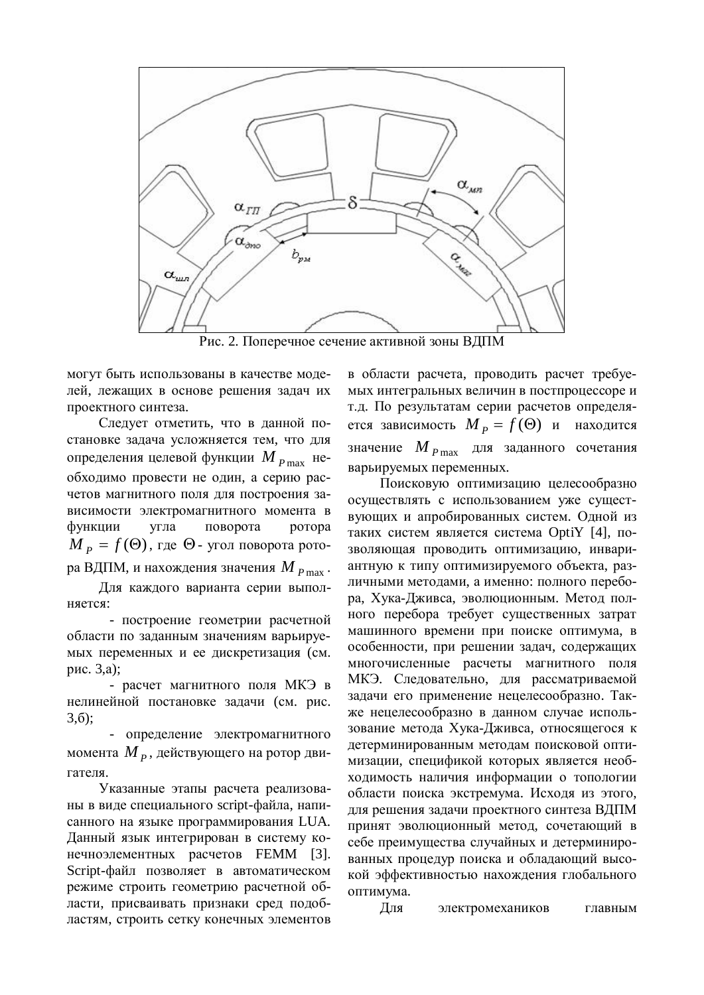

Рис. 2. Поперечное сечение активной зоны ВДПМ

могут быть использованы в качестве моделей, лежащих в основе решения задач их проектного синтеза.

Слелует отметить, что в ланной постановке задача усложняется тем, что для определения целевой функции М  $_{P\max}$  необходимо провести не один, а серию расчетов магнитного поля для построения зависимости электромагнитного момента в функции угла поворота ротора  $M_{\overline{P}} = f(\Theta)$ , где  $\Theta$ - угол поворота ротора ВДПМ, и нахождения значения М<sub>Р max</sub>.

Для каждого варианта серии выпол-H<sub>sercs</sub>:

- построение геометрии расчетной области по заданным значениям варьируемых переменных и ее дискретизация (см. pис. 3,a);

- расчет магнитного поля МКЭ в нелинейной постановке задачи (см. рис.  $3,6$ :

- определение электромагнитного момента *М<sub>Р</sub>*, действующего на ротор двигателя.

Указанные этапы расчета реализованы в виде специального script-файла, написанного на языке программирования LUA. Данный язык интегрирован в систему конечноэлементных расчетов FEMM [3]. Script-файл позволяет в автоматическом режиме строить геометрию расчетной области, присваивать признаки сред подобластям, строить сетку конечных элементов

в области расчета, проводить расчет требуемых интегральных величин в постпроцессоре и т.д. По результатам серии расчетов определяется зависимость  $M_p = f(\Theta)$  и находится значение *M P* max для заданного сочетания варьируемых переменных.

Поисковую оптимизацию целесообразно осуществлять с использованием уже существующих и апробированных систем. Одной из таких систем является система OptiY [4], позволяющая проводить оптимизацию, инвариантную к типу оптимизируемого объекта, различными методами, а именно: полного перебора, Хука-Дживса, эволюционным. Метод полного перебора требует существенных затрат машинного времени при поиске оптимума, в особенности, при решении задач, содержащих многочисленные расчеты магнитного поля МКЭ. Следовательно, для рассматриваемой задачи его применение нецелесообразно. Также нецелесообразно в данном случае использование метода Хука-Дживса, относящегося к детерминированным методам поисковой оптимизации, спецификой которых является необходимость наличия информации о топологии области поиска экстремума. Исходя из этого, для решения задачи проектного синтеза ВДПМ принят эволюционный метод, сочетающий в себе преимущества случайных и детерминированных процедур поиска и обладающий высокой эффективностью нахождения глобального оптимума.

Для электромехаников главным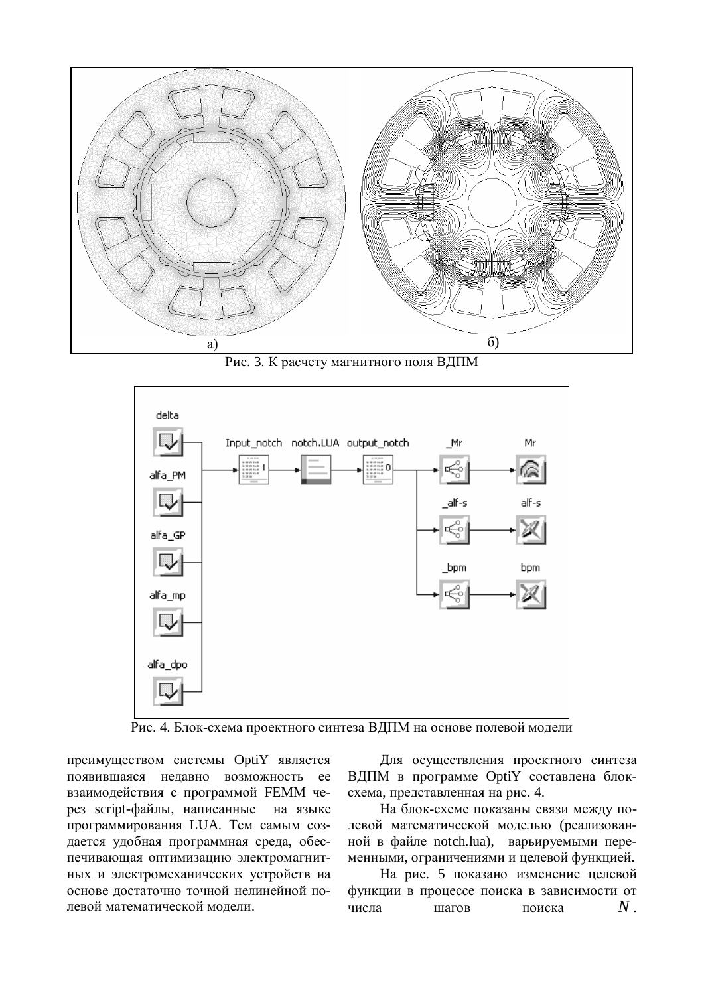

Рис. 3. К расчету магнитного поля ВДПМ



Рис. 4. Блок-схема проектного синтеза ВДПМ на основе полевой модели

преимуществом системы OptiY является появившаяся нелавно возможность ее взаимодействия с программой FEMM через script-файлы, написанные на языке программирования LUA. Тем самым создается удобная программная среда, обеспечивающая оптимизацию электромагнитных и электромеханических устройств на основе достаточно точной нелинейной полевой математической молели.

Для осуществления проектного синтеза ВДПМ в программе OptiY составлена блоксхема, представленная на рис. 4.

На блок-схеме показаны связи между полевой математической моделью (реализованной в файле notch.lua), варьируемыми переменными, ограничениями и целевой функцией.

На рис. 5 показано изменение целевой функции в процессе поиска в зависимости от числа шагов поиска  $N$ .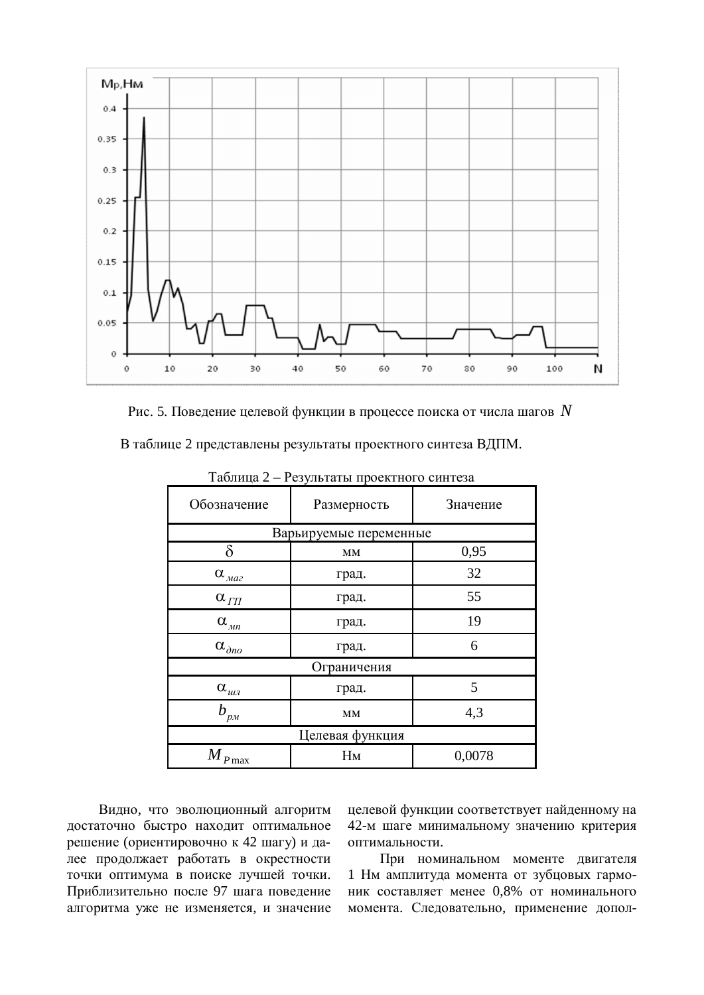

Рис. 5. Поведение целевой функции в процессе поиска от числа шагов  $N$ 

В таблице 2 представлены результаты проектного синтеза ВДПМ.

| Обозначение                                          | Размерность | Значение |  |  |
|------------------------------------------------------|-------------|----------|--|--|
| Варьируемые переменные                               |             |          |  |  |
| δ                                                    | MM          | 0,95     |  |  |
| $\alpha_{\text{max}}$                                | град.       | 32       |  |  |
| $\alpha_{\varPi}$                                    | град.       | 55       |  |  |
| $\alpha_{\scriptscriptstyle \mathcal{M}\mathcal{n}}$ | град.       | 19       |  |  |
| $\alpha_{\partial n o}$                              | град.       | 6        |  |  |
| Ограничения                                          |             |          |  |  |
| $\alpha_{_{uu\!u}}$                                  | град.       | 5        |  |  |
| h<br>$'_{p_M}$                                       | MM          | 4,3      |  |  |
| Целевая функция                                      |             |          |  |  |
| $M_{P\max}$                                          | Hм          | 0,0078   |  |  |

 $Ta\delta$ лица 2 – Результаты проектного синтеза

Видно, что эволюционный алгоритм достаточно быстро находит оптимальное решение (ориентировочно к 42 шагу) и дане продолжает работать в окрестности точки оптимума в поиске лучшей точки. Приблизительно после 97 шага поведение алгоритма уже не изменяется, и значение целевой функции соответствует найденному на 42-м шаге минимальному значению критерия оптимальности.

При номинальном моменте двигателя 1 Нм амплитуда момента от зубцовых гармоник составляет менее 0,8% от номинального момента. Следовательно, применение допол-